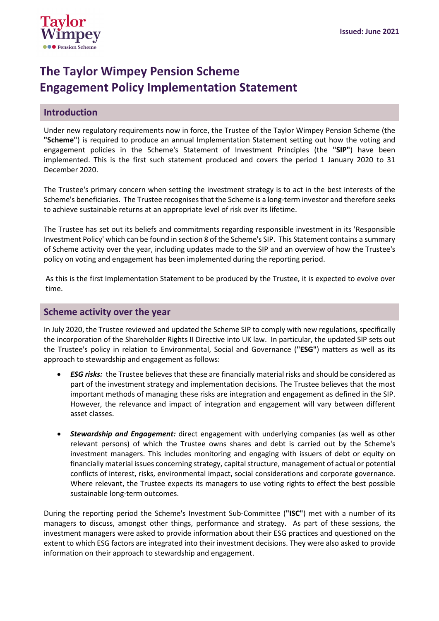

# **The Taylor Wimpey Pension Scheme Engagement Policy Implementation Statement**

### **Introduction**

Under new regulatory requirements now in force, the Trustee of the Taylor Wimpey Pension Scheme (the **"Scheme"**) is required to produce an annual Implementation Statement setting out how the voting and engagement policies in the Scheme's Statement of Investment Principles (the **"SIP"**) have been implemented. This is the first such statement produced and covers the period 1 January 2020 to 31 December 2020.

The Trustee's primary concern when setting the investment strategy is to act in the best interests of the Scheme's beneficiaries. The Trustee recognises that the Scheme is a long-term investor and therefore seeks to achieve sustainable returns at an appropriate level of risk over its lifetime.

The Trustee has set out its beliefs and commitments regarding responsible investment in its 'Responsible Investment Policy' which can be found in section 8 of the Scheme's SIP. This Statement contains a summary of Scheme activity over the year, including updates made to the SIP and an overview of how the Trustee's policy on voting and engagement has been implemented during the reporting period.

As this is the first Implementation Statement to be produced by the Trustee, it is expected to evolve over time.

#### **Scheme activity over the year**

In July 2020, the Trustee reviewed and updated the Scheme SIP to comply with new regulations, specifically the incorporation of the Shareholder Rights II Directive into UK law. In particular, the updated SIP sets out the Trustee's policy in relation to Environmental, Social and Governance (**"ESG"**) matters as well as its approach to stewardship and engagement as follows:

- *ESG risks:* the Trustee believes that these are financially material risks and should be considered as part of the investment strategy and implementation decisions. The Trustee believes that the most important methods of managing these risks are integration and engagement as defined in the SIP. However, the relevance and impact of integration and engagement will vary between different asset classes.
- *Stewardship and Engagement:* direct engagement with underlying companies (as well as other relevant persons) of which the Trustee owns shares and debt is carried out by the Scheme's investment managers. This includes monitoring and engaging with issuers of debt or equity on financially material issues concerning strategy, capital structure, management of actual or potential conflicts of interest, risks, environmental impact, social considerations and corporate governance. Where relevant, the Trustee expects its managers to use voting rights to effect the best possible sustainable long-term outcomes.

During the reporting period the Scheme's Investment Sub-Committee (**"ISC"**) met with a number of its managers to discuss, amongst other things, performance and strategy. As part of these sessions, the investment managers were asked to provide information about their ESG practices and questioned on the extent to which ESG factors are integrated into their investment decisions. They were also asked to provide information on their approach to stewardship and engagement.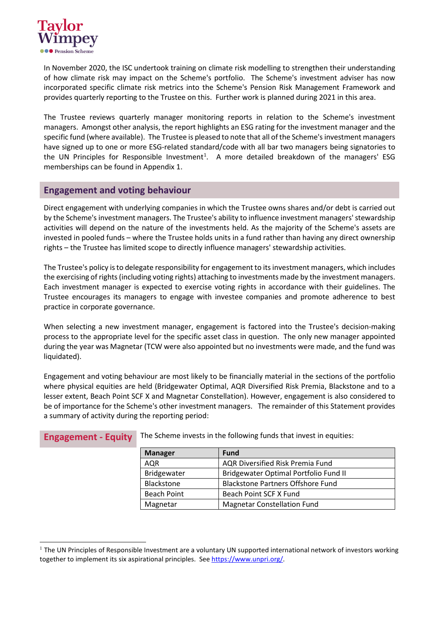

In November 2020, the ISC undertook training on climate risk modelling to strengthen their understanding of how climate risk may impact on the Scheme's portfolio. The Scheme's investment adviser has now incorporated specific climate risk metrics into the Scheme's Pension Risk Management Framework and provides quarterly reporting to the Trustee on this. Further work is planned during 2021 in this area.

The Trustee reviews quarterly manager monitoring reports in relation to the Scheme's investment managers. Amongst other analysis, the report highlights an ESG rating for the investment manager and the specific fund (where available). The Trustee is pleased to note that all of the Scheme's investment managers have signed up to one or more ESG-related standard/code with all bar two managers being signatories to the UN Principles for Responsible Investment<sup>[1](#page-1-0)</sup>. A more detailed breakdown of the managers' ESG memberships can be found in Appendix 1.

## **Engagement and voting behaviour**

Direct engagement with underlying companies in which the Trustee owns shares and/or debt is carried out by the Scheme's investment managers. The Trustee's ability to influence investment managers'stewardship activities will depend on the nature of the investments held. As the majority of the Scheme's assets are invested in pooled funds – where the Trustee holds units in a fund rather than having any direct ownership rights – the Trustee has limited scope to directly influence managers' stewardship activities.

The Trustee's policy is to delegate responsibility for engagement to its investment managers, which includes the exercising of rights (including voting rights) attaching to investments made by the investment managers. Each investment manager is expected to exercise voting rights in accordance with their guidelines. The Trustee encourages its managers to engage with investee companies and promote adherence to best practice in corporate governance.

When selecting a new investment manager, engagement is factored into the Trustee's decision-making process to the appropriate level for the specific asset class in question. The only new manager appointed during the year was Magnetar (TCW were also appointed but no investments were made, and the fund was liquidated).

Engagement and voting behaviour are most likely to be financially material in the sections of the portfolio where physical equities are held (Bridgewater Optimal, AQR Diversified Risk Premia, Blackstone and to a lesser extent, Beach Point SCF X and Magnetar Constellation). However, engagement is also considered to be of importance for the Scheme's other investment managers. The remainder of this Statement provides a summary of activity during the reporting period:

| <b>Manager</b>     | <b>Fund</b>                              |
|--------------------|------------------------------------------|
| <b>AQR</b>         | AQR Diversified Risk Premia Fund         |
| Bridgewater        | Bridgewater Optimal Portfolio Fund II    |
| Blackstone         | <b>Blackstone Partners Offshore Fund</b> |
| <b>Beach Point</b> | Beach Point SCF X Fund                   |
| Magnetar           | <b>Magnetar Constellation Fund</b>       |

**Engagement - Equity** The Scheme invests in the following funds that invest in equities:

<span id="page-1-0"></span> $1$  The UN Principles of Responsible Investment are a voluntary UN supported international network of investors working together to implement its six aspirational principles. See [https://www.unpri.org/.](https://www.unpri.org/)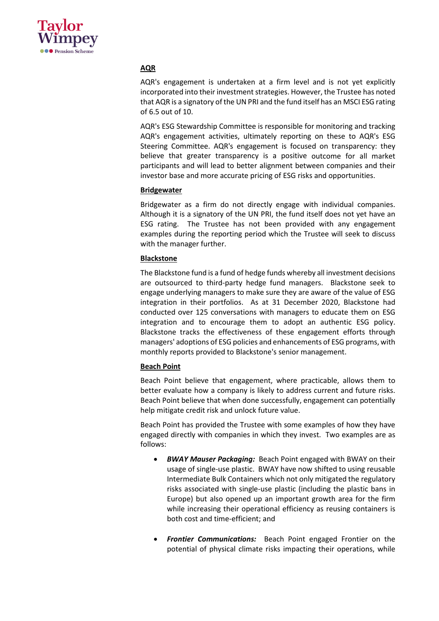

#### **AQR**

AQR's engagement is undertaken at a firm level and is not yet explicitly incorporated into their investment strategies. However, the Trustee has noted that AQR is a signatory of the UN PRI and the fund itself has an MSCI ESG rating of 6.5 out of 10.

AQR's ESG Stewardship Committee is responsible for monitoring and tracking AQR's engagement activities, ultimately reporting on these to AQR's ESG Steering Committee. AQR's engagement is focused on transparency: they believe that greater transparency is a positive outcome for all market participants and will lead to better alignment between companies and their investor base and more accurate pricing of ESG risks and opportunities.

#### **Bridgewater**

Bridgewater as a firm do not directly engage with individual companies. Although it is a signatory of the UN PRI, the fund itself does not yet have an ESG rating. The Trustee has not been provided with any engagement examples during the reporting period which the Trustee will seek to discuss with the manager further.

#### **Blackstone**

The Blackstone fund is a fund of hedge funds whereby all investment decisions are outsourced to third-party hedge fund managers. Blackstone seek to engage underlying managers to make sure they are aware of the value of ESG integration in their portfolios. As at 31 December 2020, Blackstone had conducted over 125 conversations with managers to educate them on ESG integration and to encourage them to adopt an authentic ESG policy. Blackstone tracks the effectiveness of these engagement efforts through managers' adoptions of ESG policies and enhancements of ESG programs, with monthly reports provided to Blackstone's senior management.

#### **Beach Point**

Beach Point believe that engagement, where practicable, allows them to better evaluate how a company is likely to address current and future risks. Beach Point believe that when done successfully, engagement can potentially help mitigate credit risk and unlock future value.

Beach Point has provided the Trustee with some examples of how they have engaged directly with companies in which they invest. Two examples are as follows:

- *BWAY Mauser Packaging:* Beach Point engaged with BWAY on their usage of single-use plastic. BWAY have now shifted to using reusable Intermediate Bulk Containers which not only mitigated the regulatory risks associated with single-use plastic (including the plastic bans in Europe) but also opened up an important growth area for the firm while increasing their operational efficiency as reusing containers is both cost and time-efficient; and
- *Frontier Communications:* Beach Point engaged Frontier on the potential of physical climate risks impacting their operations, while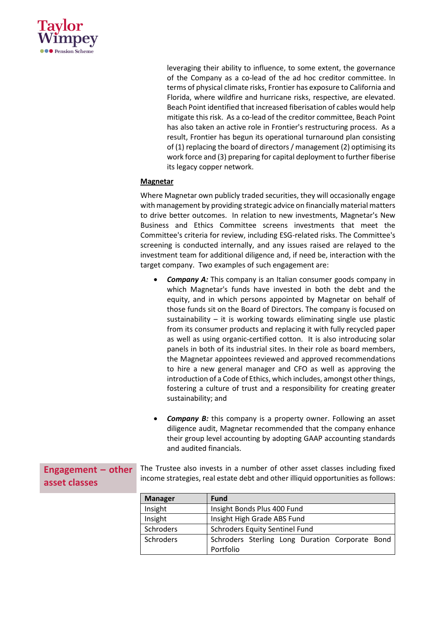

leveraging their ability to influence, to some extent, the governance of the Company as a co-lead of the ad hoc creditor committee. In terms of physical climate risks, Frontier has exposure to California and Florida, where wildfire and hurricane risks, respective, are elevated. Beach Point identified that increased fiberisation of cables would help mitigate this risk. As a co-lead of the creditor committee, Beach Point has also taken an active role in Frontier's restructuring process. As a result, Frontier has begun its operational turnaround plan consisting of (1) replacing the board of directors / management (2) optimising its work force and (3) preparing for capital deployment to further fiberise its legacy copper network.

#### **Magnetar**

Where Magnetar own publicly traded securities, they will occasionally engage with management by providing strategic advice on financially material matters to drive better outcomes. In relation to new investments, Magnetar's New Business and Ethics Committee screens investments that meet the Committee's criteria for review, including ESG-related risks. The Committee's screening is conducted internally, and any issues raised are relayed to the investment team for additional diligence and, if need be, interaction with the target company. Two examples of such engagement are:

- **Company A:** This company is an Italian consumer goods company in which Magnetar's funds have invested in both the debt and the equity, and in which persons appointed by Magnetar on behalf of those funds sit on the Board of Directors. The company is focused on sustainability – it is working towards eliminating single use plastic from its consumer products and replacing it with fully recycled paper as well as using organic-certified cotton. It is also introducing solar panels in both of its industrial sites. In their role as board members, the Magnetar appointees reviewed and approved recommendations to hire a new general manager and CFO as well as approving the introduction of a Code of Ethics, which includes, amongst other things, fostering a culture of trust and a responsibility for creating greater sustainability; and
- **Company B:** this company is a property owner. Following an asset diligence audit, Magnetar recommended that the company enhance their group level accounting by adopting GAAP accounting standards and audited financials.

|               | <b>Engagement - other</b> The Trustee also invests in a number of other asset classes including fixed |
|---------------|-------------------------------------------------------------------------------------------------------|
| asset classes | income strategies, real estate debt and other illiquid opportunities as follows:                      |

| <b>Manager</b> | <b>Fund</b>                                     |  |
|----------------|-------------------------------------------------|--|
| Insight        | Insight Bonds Plus 400 Fund                     |  |
| Insight        | Insight High Grade ABS Fund                     |  |
| Schroders      | <b>Schroders Equity Sentinel Fund</b>           |  |
| Schroders      | Schroders Sterling Long Duration Corporate Bond |  |
|                | Portfolio                                       |  |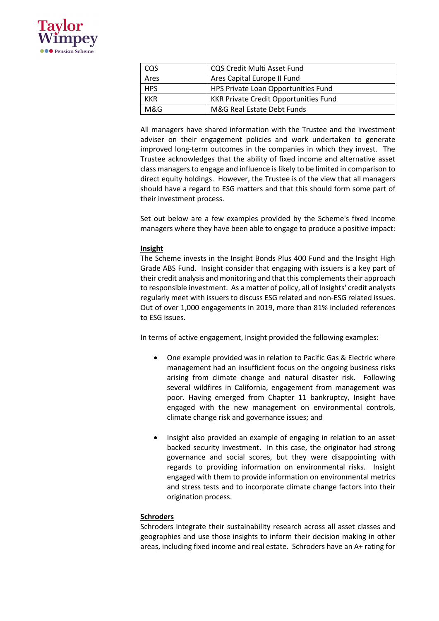

| cos        | <b>CQS Credit Multi Asset Fund</b>           |
|------------|----------------------------------------------|
| Ares       | Ares Capital Europe II Fund                  |
| <b>HPS</b> | HPS Private Loan Opportunities Fund          |
| KKR        | <b>KKR Private Credit Opportunities Fund</b> |
| M&G        | M&G Real Estate Debt Funds                   |

All managers have shared information with the Trustee and the investment adviser on their engagement policies and work undertaken to generate improved long-term outcomes in the companies in which they invest. The Trustee acknowledges that the ability of fixed income and alternative asset class managers to engage and influence is likely to be limited in comparison to direct equity holdings. However, the Trustee is of the view that all managers should have a regard to ESG matters and that this should form some part of their investment process.

Set out below are a few examples provided by the Scheme's fixed income managers where they have been able to engage to produce a positive impact:

#### **Insight**

The Scheme invests in the Insight Bonds Plus 400 Fund and the Insight High Grade ABS Fund. Insight consider that engaging with issuers is a key part of their credit analysis and monitoring and that this complements their approach to responsible investment. As a matter of policy, all of Insights' credit analysts regularly meet with issuers to discuss ESG related and non-ESG related issues. Out of over 1,000 engagements in 2019, more than 81% included references to ESG issues.

In terms of active engagement, Insight provided the following examples:

- One example provided was in relation to Pacific Gas & Electric where management had an insufficient focus on the ongoing business risks arising from climate change and natural disaster risk. Following several wildfires in California, engagement from management was poor. Having emerged from Chapter 11 bankruptcy, Insight have engaged with the new management on environmental controls, climate change risk and governance issues; and
- Insight also provided an example of engaging in relation to an asset backed security investment. In this case, the originator had strong governance and social scores, but they were disappointing with regards to providing information on environmental risks. Insight engaged with them to provide information on environmental metrics and stress tests and to incorporate climate change factors into their origination process.

#### **Schroders**

Schroders integrate their sustainability research across all asset classes and geographies and use those insights to inform their decision making in other areas, including fixed income and real estate. Schroders have an A+ rating for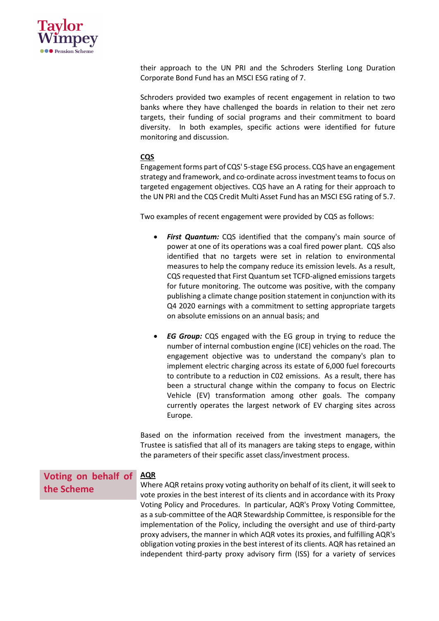

their approach to the UN PRI and the Schroders Sterling Long Duration Corporate Bond Fund has an MSCI ESG rating of 7.

Schroders provided two examples of recent engagement in relation to two banks where they have challenged the boards in relation to their net zero targets, their funding of social programs and their commitment to board diversity. In both examples, specific actions were identified for future monitoring and discussion.

#### **CQS**

Engagement forms part of CQS' 5-stage ESG process. CQS have an engagement strategy and framework, and co-ordinate acrossinvestment teamsto focus on targeted engagement objectives. CQS have an A rating for their approach to the UN PRI and the CQS Credit Multi Asset Fund has an MSCI ESG rating of 5.7.

Two examples of recent engagement were provided by CQS as follows:

- *First Quantum:* CQS identified that the company's main source of power at one of its operations was a coal fired power plant. CQS also identified that no targets were set in relation to environmental measures to help the company reduce its emission levels. As a result, CQS requested that First Quantum set TCFD-aligned emissions targets for future monitoring. The outcome was positive, with the company publishing a climate change position statement in conjunction with its Q4 2020 earnings with a commitment to setting appropriate targets on absolute emissions on an annual basis; and
- *EG Group:* CQS engaged with the EG group in trying to reduce the number of internal combustion engine (ICE) vehicles on the road. The engagement objective was to understand the company's plan to implement electric charging across its estate of 6,000 fuel forecourts to contribute to a reduction in C02 emissions. As a result, there has been a structural change within the company to focus on Electric Vehicle (EV) transformation among other goals. The company currently operates the largest network of EV charging sites across Europe.

Based on the information received from the investment managers, the Trustee is satisfied that all of its managers are taking steps to engage, within the parameters of their specific asset class/investment process.

independent third-party proxy advisory firm (ISS) for a variety of services

#### **Voting on behalf of the Scheme AQR** Where AQR retains proxy voting authority on behalf of its client, it will seek to vote proxies in the best interest of its clients and in accordance with its Proxy Voting Policy and Procedures. In particular, AQR's Proxy Voting Committee, as a sub-committee of the AQR Stewardship Committee, is responsible for the implementation of the Policy, including the oversight and use of third-party proxy advisers, the manner in which AQR votes its proxies, and fulfilling AQR's obligation voting proxies in the best interest of its clients. AQR has retained an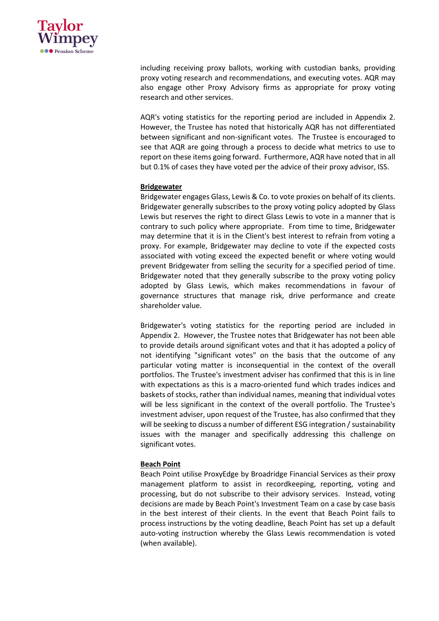

including receiving proxy ballots, working with custodian banks, providing proxy voting research and recommendations, and executing votes. AQR may also engage other Proxy Advisory firms as appropriate for proxy voting research and other services.

AQR's voting statistics for the reporting period are included in Appendix 2. However, the Trustee has noted that historically AQR has not differentiated between significant and non-significant votes. The Trustee is encouraged to see that AQR are going through a process to decide what metrics to use to report on these items going forward. Furthermore, AQR have noted that in all but 0.1% of cases they have voted per the advice of their proxy advisor, ISS.

#### **Bridgewater**

Bridgewater engages Glass, Lewis & Co. to vote proxies on behalf of its clients. Bridgewater generally subscribes to the proxy voting policy adopted by Glass Lewis but reserves the right to direct Glass Lewis to vote in a manner that is contrary to such policy where appropriate. From time to time, Bridgewater may determine that it is in the Client's best interest to refrain from voting a proxy. For example, Bridgewater may decline to vote if the expected costs associated with voting exceed the expected benefit or where voting would prevent Bridgewater from selling the security for a specified period of time. Bridgewater noted that they generally subscribe to the proxy voting policy adopted by Glass Lewis, which makes recommendations in favour of governance structures that manage risk, drive performance and create shareholder value.

Bridgewater's voting statistics for the reporting period are included in Appendix 2. However, the Trustee notes that Bridgewater has not been able to provide details around significant votes and that it has adopted a policy of not identifying "significant votes" on the basis that the outcome of any particular voting matter is inconsequential in the context of the overall portfolios. The Trustee's investment adviser has confirmed that this is in line with expectations as this is a macro-oriented fund which trades indices and baskets of stocks, rather than individual names, meaning that individual votes will be less significant in the context of the overall portfolio. The Trustee's investment adviser, upon request of the Trustee, has also confirmed that they will be seeking to discuss a number of different ESG integration / sustainability issues with the manager and specifically addressing this challenge on significant votes.

#### **Beach Point**

Beach Point utilise ProxyEdge by Broadridge Financial Services as their proxy management platform to assist in recordkeeping, reporting, voting and processing, but do not subscribe to their advisory services. Instead, voting decisions are made by Beach Point's Investment Team on a case by case basis in the best interest of their clients. In the event that Beach Point fails to process instructions by the voting deadline, Beach Point has set up a default auto-voting instruction whereby the Glass Lewis recommendation is voted (when available).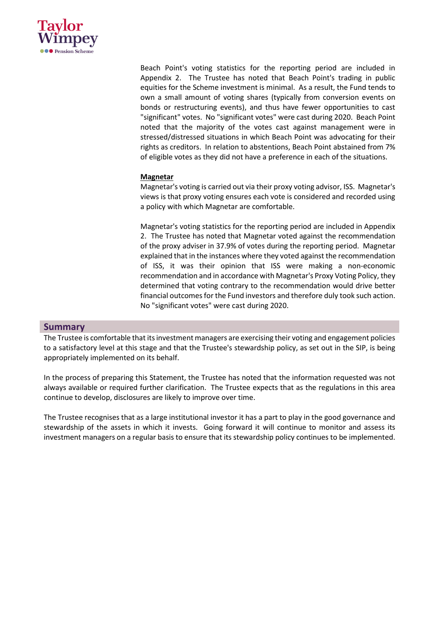

Beach Point's voting statistics for the reporting period are included in Appendix 2. The Trustee has noted that Beach Point's trading in public equities for the Scheme investment is minimal. As a result, the Fund tends to own a small amount of voting shares (typically from conversion events on bonds or restructuring events), and thus have fewer opportunities to cast "significant" votes. No "significant votes" were cast during 2020. Beach Point noted that the majority of the votes cast against management were in stressed/distressed situations in which Beach Point was advocating for their rights as creditors. In relation to abstentions, Beach Point abstained from 7% of eligible votes as they did not have a preference in each of the situations.

#### **Magnetar**

Magnetar's voting is carried out via their proxy voting advisor, ISS. Magnetar's views is that proxy voting ensures each vote is considered and recorded using a policy with which Magnetar are comfortable.

Magnetar's voting statistics for the reporting period are included in Appendix 2. The Trustee has noted that Magnetar voted against the recommendation of the proxy adviser in 37.9% of votes during the reporting period. Magnetar explained that in the instances where they voted against the recommendation of ISS, it was their opinion that ISS were making a non-economic recommendation and in accordance with Magnetar's Proxy Voting Policy, they determined that voting contrary to the recommendation would drive better financial outcomes for the Fund investors and therefore duly took such action. No "significant votes" were cast during 2020.

#### **Summary**

The Trustee is comfortable that its investment managers are exercising their voting and engagement policies to a satisfactory level at this stage and that the Trustee's stewardship policy, as set out in the SIP, is being appropriately implemented on its behalf.

In the process of preparing this Statement, the Trustee has noted that the information requested was not always available or required further clarification. The Trustee expects that as the regulations in this area continue to develop, disclosures are likely to improve over time.

The Trustee recognises that as a large institutional investor it has a part to play in the good governance and stewardship of the assets in which it invests. Going forward it will continue to monitor and assess its investment managers on a regular basis to ensure that its stewardship policy continues to be implemented.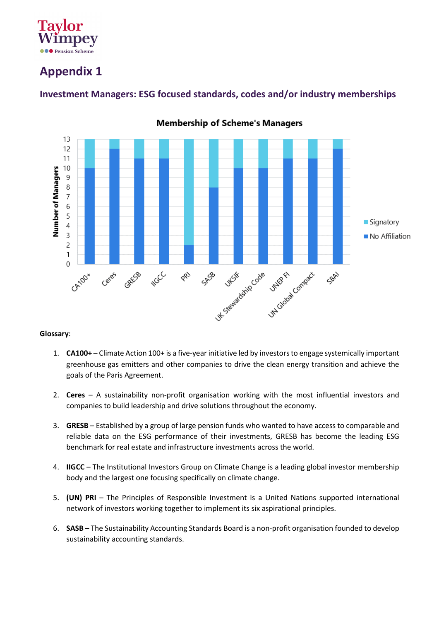

# **Appendix 1**



## **Investment Managers: ESG focused standards, codes and/or industry memberships**

#### **Glossary**:

- 1. **CA100+** Climate Action 100+ is a five-year initiative led by investors to engage systemically important greenhouse gas emitters and other companies to drive the clean energy transition and achieve the goals of the Paris Agreement.
- 2. **Ceres** A sustainability non-profit organisation working with the most influential investors and companies to build leadership and drive solutions throughout the economy.
- 3. **GRESB** Established by a group of large pension funds who wanted to have access to comparable and reliable data on the ESG performance of their investments, GRESB has become the leading ESG benchmark for real estate and infrastructure investments across the world.
- 4. **IIGCC**  The Institutional Investors Group on Climate Change is a leading global investor membership body and the largest one focusing specifically on climate change.
- 5. **(UN) PRI** The Principles of Responsible Investment is a United Nations supported international network of investors working together to implement its six aspirational principles.
- 6. **SASB**  The Sustainability Accounting Standards Board is a non-profit organisation founded to develop sustainability accounting standards.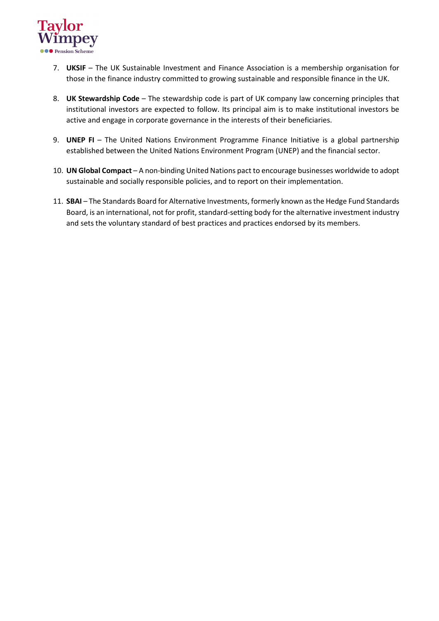

- 7. **UKSIF** The UK Sustainable Investment and Finance Association is a membership organisation for those in the finance industry committed to growing sustainable and responsible finance in the UK.
- 8. **UK Stewardship Code** The stewardship code is part of UK company law concerning principles that institutional investors are expected to follow. Its principal aim is to make institutional investors be active and engage in corporate governance in the interests of their beneficiaries.
- 9. **UNEP FI** The United Nations Environment Programme Finance Initiative is a global partnership established between the United Nations Environment Program (UNEP) and the financial sector.
- 10. **UN Global Compact** A non-binding United Nations pact to encourage businesses worldwide to adopt sustainable and socially responsible policies, and to report on their implementation.
- 11. **SBAI**  The Standards Board for Alternative Investments, formerly known as the Hedge Fund Standards Board, is an international, not for profit, standard-setting body for the alternative investment industry and sets the voluntary standard of best practices and practices endorsed by its members.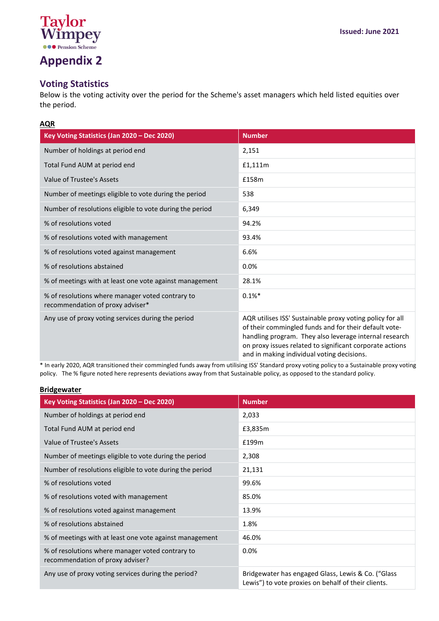

# **Appendix 2**

## **Voting Statistics**

Below is the voting activity over the period for the Scheme's asset managers which held listed equities over the period.

#### **AQR**

| Key Voting Statistics (Jan 2020 - Dec 2020)                                          | <b>Number</b>                                                                                                                                                                                                                                                                          |
|--------------------------------------------------------------------------------------|----------------------------------------------------------------------------------------------------------------------------------------------------------------------------------------------------------------------------------------------------------------------------------------|
| Number of holdings at period end                                                     | 2,151                                                                                                                                                                                                                                                                                  |
| Total Fund AUM at period end                                                         | £1,111m                                                                                                                                                                                                                                                                                |
| Value of Trustee's Assets                                                            | f158m                                                                                                                                                                                                                                                                                  |
| Number of meetings eligible to vote during the period                                | 538                                                                                                                                                                                                                                                                                    |
| Number of resolutions eligible to vote during the period                             | 6,349                                                                                                                                                                                                                                                                                  |
| % of resolutions voted                                                               | 94.2%                                                                                                                                                                                                                                                                                  |
| % of resolutions voted with management                                               | 93.4%                                                                                                                                                                                                                                                                                  |
| % of resolutions voted against management                                            | 6.6%                                                                                                                                                                                                                                                                                   |
| % of resolutions abstained                                                           | 0.0%                                                                                                                                                                                                                                                                                   |
| % of meetings with at least one vote against management                              | 28.1%                                                                                                                                                                                                                                                                                  |
| % of resolutions where manager voted contrary to<br>recommendation of proxy adviser* | $0.1\%*$                                                                                                                                                                                                                                                                               |
| Any use of proxy voting services during the period                                   | AQR utilises ISS' Sustainable proxy voting policy for all<br>of their commingled funds and for their default vote-<br>handling program. They also leverage internal research<br>on proxy issues related to significant corporate actions<br>and in making individual voting decisions. |

\* In early 2020, AQR transitioned their commingled funds away from utilising ISS' Standard proxy voting policy to a Sustainable proxy voting policy. The % figure noted here represents deviations away from that Sustainable policy, as opposed to the standard policy.

| <b>Bridgewater</b>                                                                   |                                                                                                           |  |
|--------------------------------------------------------------------------------------|-----------------------------------------------------------------------------------------------------------|--|
| Key Voting Statistics (Jan 2020 - Dec 2020)                                          | <b>Number</b>                                                                                             |  |
| Number of holdings at period end                                                     | 2,033                                                                                                     |  |
| Total Fund AUM at period end                                                         | £3,835m                                                                                                   |  |
| Value of Trustee's Assets                                                            | £199m                                                                                                     |  |
| Number of meetings eligible to vote during the period                                | 2,308                                                                                                     |  |
| Number of resolutions eligible to vote during the period                             | 21,131                                                                                                    |  |
| % of resolutions voted                                                               | 99.6%                                                                                                     |  |
| % of resolutions voted with management                                               | 85.0%                                                                                                     |  |
| % of resolutions voted against management                                            | 13.9%                                                                                                     |  |
| % of resolutions abstained                                                           | 1.8%                                                                                                      |  |
| % of meetings with at least one vote against management                              | 46.0%                                                                                                     |  |
| % of resolutions where manager voted contrary to<br>recommendation of proxy adviser? | 0.0%                                                                                                      |  |
| Any use of proxy voting services during the period?                                  | Bridgewater has engaged Glass, Lewis & Co. ("Glass<br>Lewis") to vote proxies on behalf of their clients. |  |